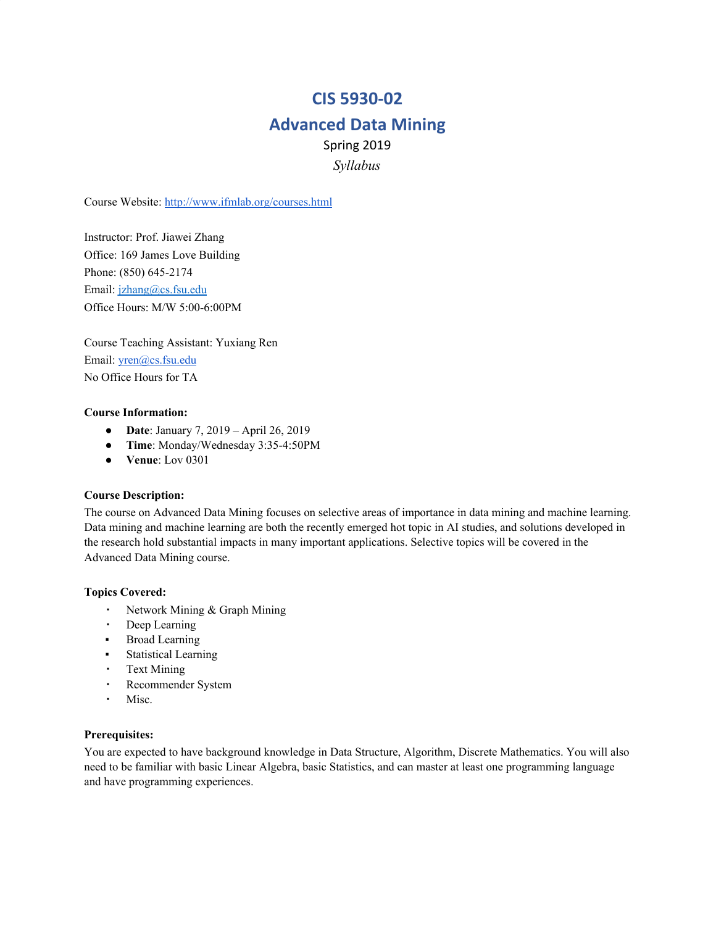# **CIS 5930-02**

# **Advanced Data Mining**

Spring 2019 *Syllabus*

Course Website: <http://www.ifmlab.org/courses.html>

Instructor: Prof. Jiawei Zhang Office: 169 James Love Building Phone: (850) 645-2174 Email: [jzhang@cs.fsu.edu](mailto:jzhang@cs.fsu.edu) Office Hours: M/W 5:00-6:00PM

Course Teaching Assistant: Yuxiang Ren Email: [yren@cs.fsu.edu](mailto:yren@cs.fsu.edu) No Office Hours for TA

#### **Course Information:**

- **Date**: January 7, 2019 April 26, 2019
- **Time**: Monday/Wednesday 3:35-4:50PM
- **Venue**: Lov 0301

### **Course Description:**

The course on Advanced Data Mining focuses on selective areas of importance in data mining and machine learning. Data mining and machine learning are both the recently emerged hot topic in AI studies, and solutions developed in the research hold substantial impacts in many important applications. Selective topics will be covered in the Advanced Data Mining course.

### **Topics Covered:**

- Network Mining & Graph Mining
- Deep Learning
- **•** Broad Learning
- Statistical Learning
- Text Mining
- Recommender System
- Misc.

#### **Prerequisites:**

You are expected to have background knowledge in Data Structure, Algorithm, Discrete Mathematics. You will also need to be familiar with basic Linear Algebra, basic Statistics, and can master at least one programming language and have programming experiences.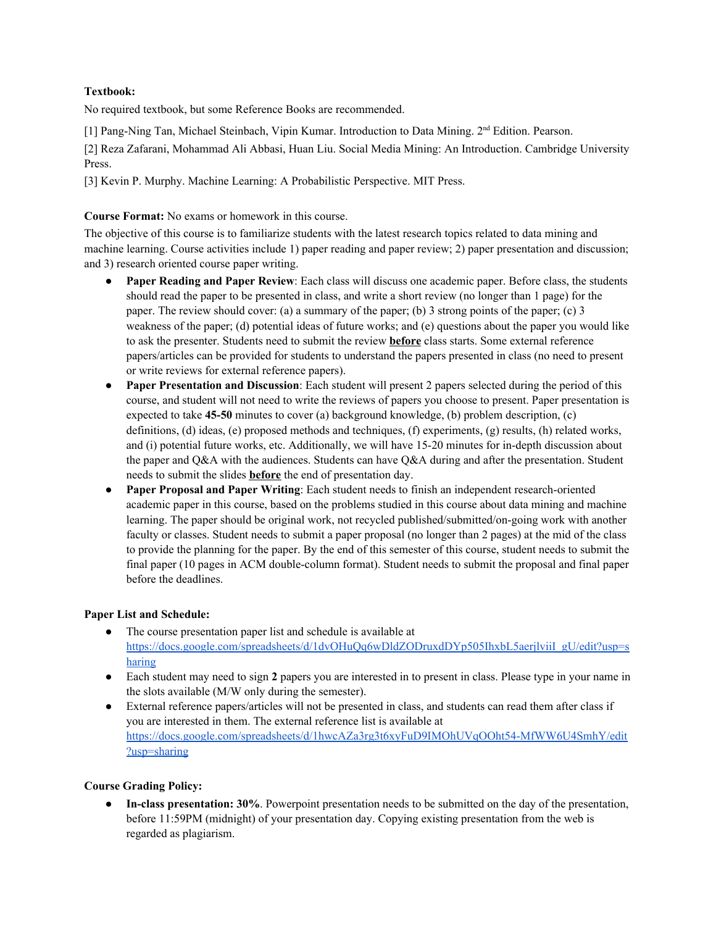# **Textbook:**

No required textbook, but some Reference Books are recommended.

[1] Pang-Ning Tan, Michael Steinbach, Vipin Kumar. Introduction to Data Mining. 2<sup>nd</sup> Edition. Pearson.

[2] Reza Zafarani, Mohammad Ali Abbasi, Huan Liu. Social Media Mining: An Introduction. Cambridge University Press.

[3] Kevin P. Murphy. Machine Learning: A Probabilistic Perspective. MIT Press.

# **Course Format:** No exams or homework in this course.

The objective of this course is to familiarize students with the latest research topics related to data mining and machine learning. Course activities include 1) paper reading and paper review; 2) paper presentation and discussion; and 3) research oriented course paper writing.

- **Paper Reading and Paper Review**: Each class will discuss one academic paper. Before class, the students should read the paper to be presented in class, and write a short review (no longer than 1 page) for the paper. The review should cover: (a) a summary of the paper; (b) 3 strong points of the paper; (c) 3 weakness of the paper; (d) potential ideas of future works; and (e) questions about the paper you would like to ask the presenter. Students need to submit the review **before** class starts. Some external reference papers/articles can be provided for students to understand the papers presented in class (no need to present or write reviews for external reference papers).
- **Paper Presentation and Discussion**: Each student will present 2 papers selected during the period of this course, and student will not need to write the reviews of papers you choose to present. Paper presentation is expected to take **45-50** minutes to cover (a) background knowledge, (b) problem description, (c) definitions, (d) ideas, (e) proposed methods and techniques, (f) experiments, (g) results, (h) related works, and (i) potential future works, etc. Additionally, we will have 15-20 minutes for in-depth discussion about the paper and Q&A with the audiences. Students can have Q&A during and after the presentation. Student needs to submit the slides **before** the end of presentation day.
- **Paper Proposal and Paper Writing**: Each student needs to finish an independent research-oriented academic paper in this course, based on the problems studied in this course about data mining and machine learning. The paper should be original work, not recycled published/submitted/on-going work with another faculty or classes. Student needs to submit a paper proposal (no longer than 2 pages) at the mid of the class to provide the planning for the paper. By the end of this semester of this course, student needs to submit the final paper (10 pages in ACM double-column format). Student needs to submit the proposal and final paper before the deadlines.

### **Paper List and Schedule:**

- The course presentation paper list and schedule is available at [https://docs.google.com/spreadsheets/d/1dvOHuQq6wDldZODruxdDYp505IhxbL5aerjlviiI\\_gU/edit?usp=s](https://docs.google.com/spreadsheets/d/1dvOHuQq6wDldZODruxdDYp505IhxbL5aerjlviiI_gU/edit?usp=sharing) [haring](https://docs.google.com/spreadsheets/d/1dvOHuQq6wDldZODruxdDYp505IhxbL5aerjlviiI_gU/edit?usp=sharing)
- Each student may need to sign 2 papers you are interested in to present in class. Please type in your name in the slots available (M/W only during the semester).
- External reference papers/articles will not be presented in class, and students can read them after class if you are interested in them. The external reference list is available at [https://docs.google.com/spreadsheets/d/1hwcAZa3rg3t6xyFuD9IMOhUVqOOht54-MfWW6U4SmhY/edit](https://docs.google.com/spreadsheets/d/1hwcAZa3rg3t6xyFuD9IMOhUVqOOht54-MfWW6U4SmhY/edit?usp=sharing) [?usp=sharing](https://docs.google.com/spreadsheets/d/1hwcAZa3rg3t6xyFuD9IMOhUVqOOht54-MfWW6U4SmhY/edit?usp=sharing)

### **Course Grading Policy:**

● **In-class presentation: 30%**. Powerpoint presentation needs to be submitted on the day of the presentation, before 11:59PM (midnight) of your presentation day. Copying existing presentation from the web is regarded as plagiarism.